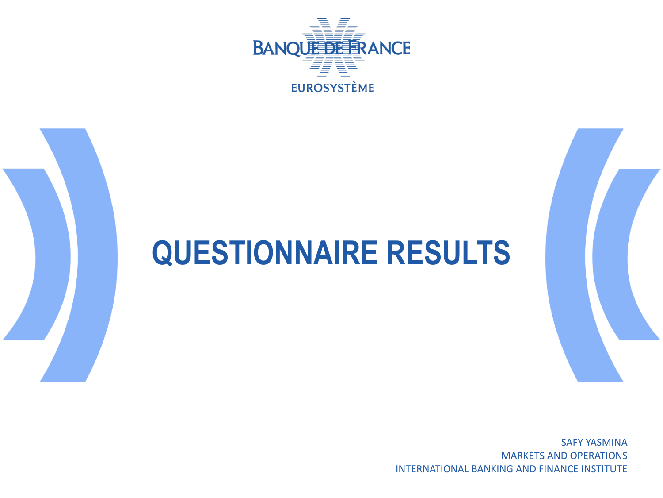

# **QUESTIONNAIRE RESULTS**

SAFY YASMINA MARKETS AND OPERATIONS INTERNATIONAL BANKING AND FINANCE INSTITUTE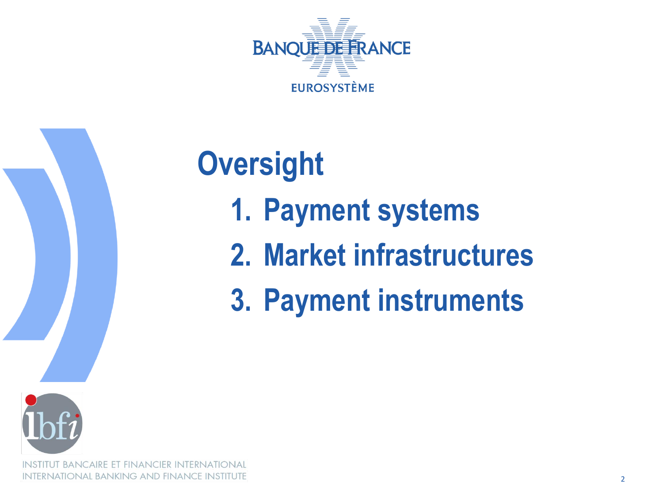



**BANCAIRE ET FINANCIER INTERNATIONAL INTERNATIONAL BANKING AND FINANCE INSTITUTE** 

# **Oversight 1. Payment systems 2. Market infrastructures**

**3. Payment instruments**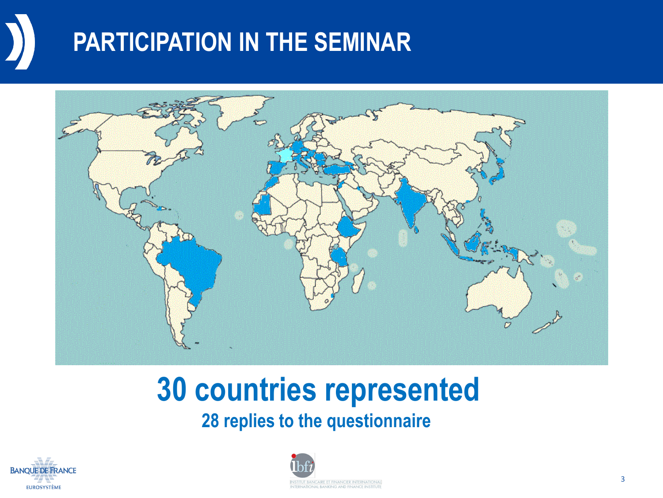## **PARTICIPATION IN THE SEMINAR**



# **30 countries represented**

**28 replies to the questionnaire** 



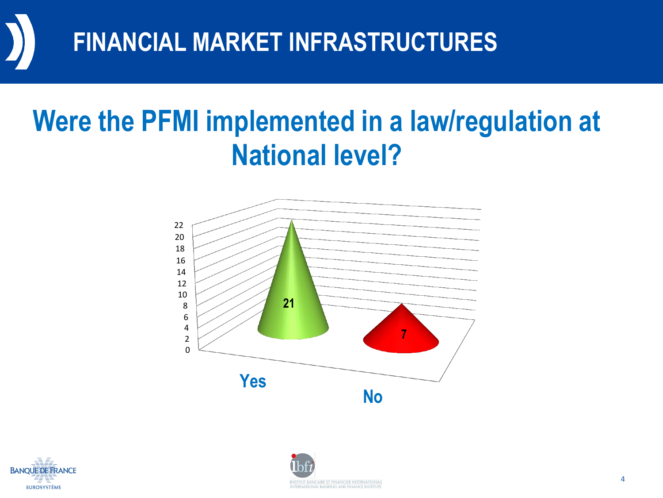

## **Were the PFMI implemented in a law/regulation at National level?**





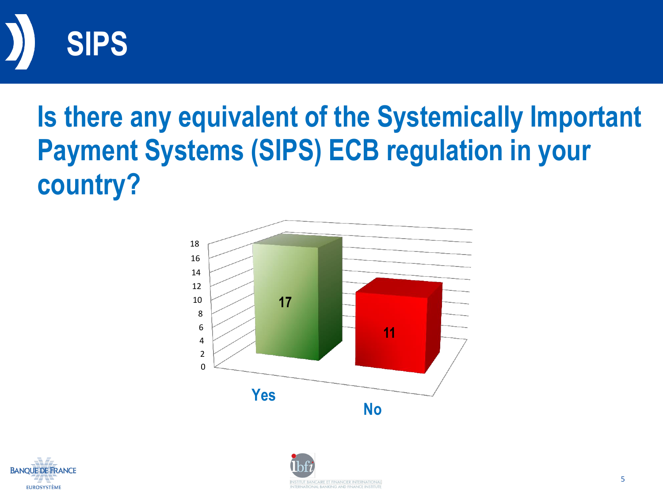

# **Is there any equivalent of the Systemically Important Payment Systems (SIPS) ECB regulation in your country?**





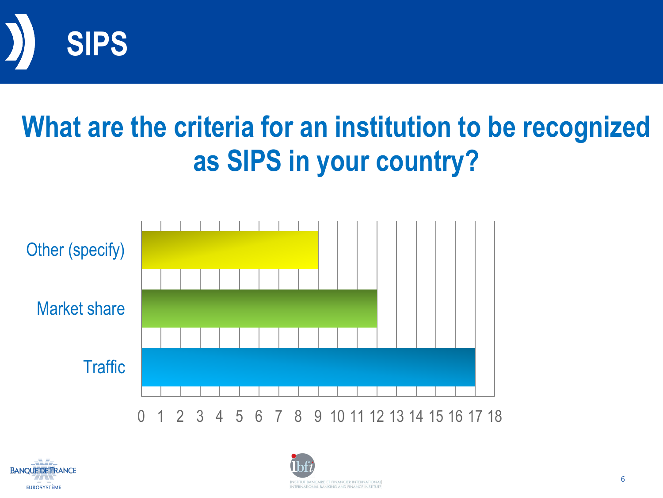

# **What are the criteria for an institution to be recognized as SIPS in your country?**





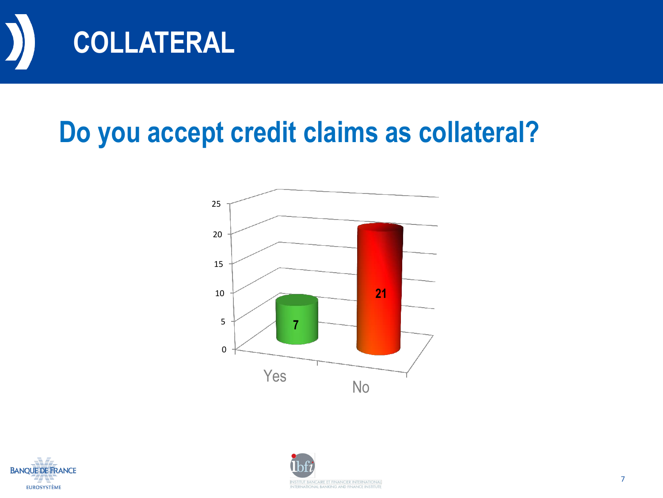

## **Do you accept credit claims as collateral?**





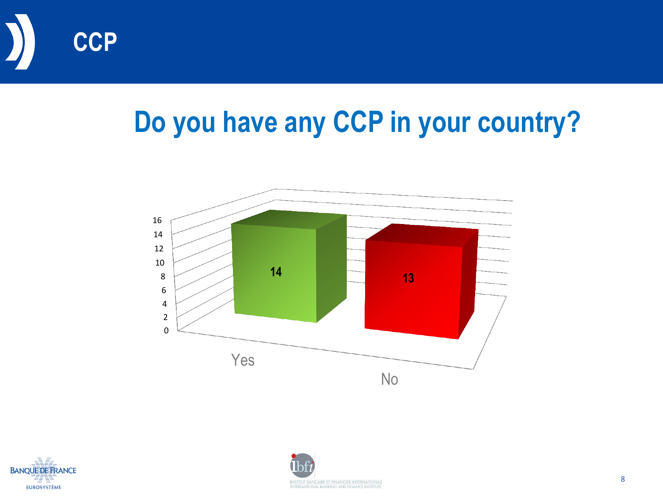

# **Do you have any CCP in your country?**





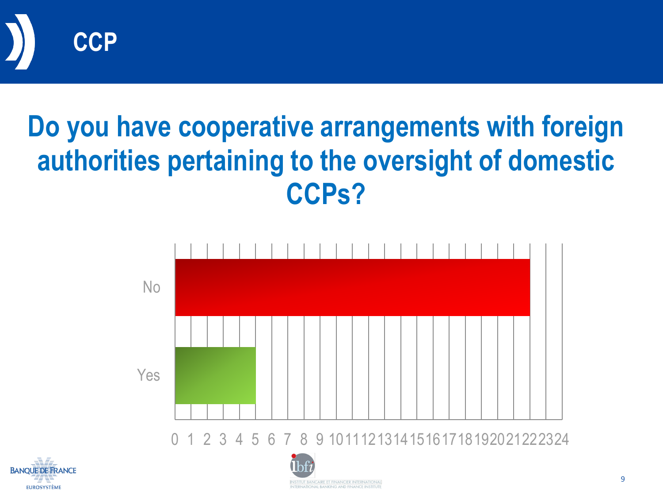

# **Do you have cooperative arrangements with foreign authorities pertaining to the oversight of domestic CCPs?**





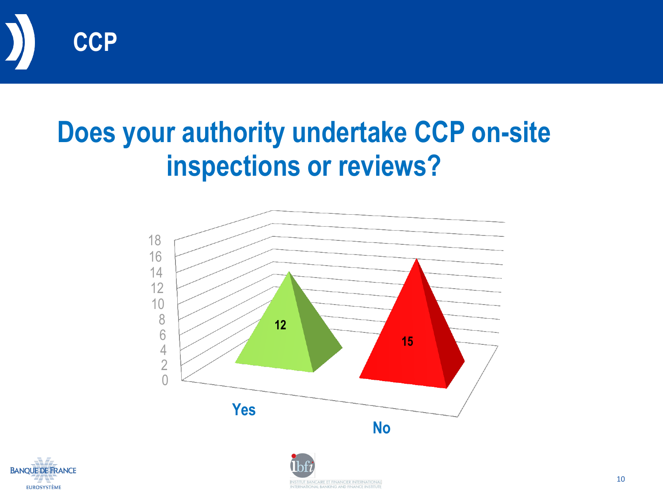

## **Does your authority undertake CCP on-site inspections or reviews?**



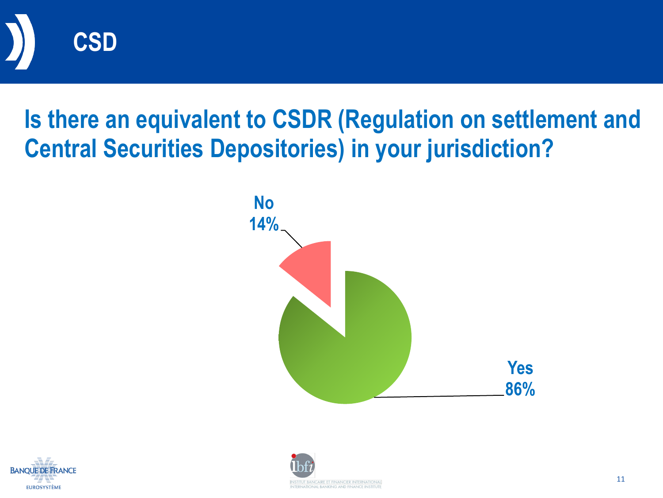

#### **Is there an equivalent to CSDR (Regulation on settlement and Central Securities Depositories) in your jurisdiction?**





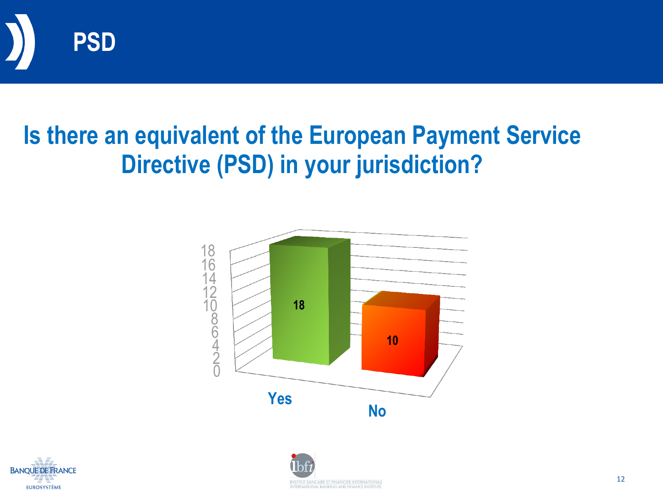

#### **Is there an equivalent of the European Payment Service Directive (PSD) in your jurisdiction?**





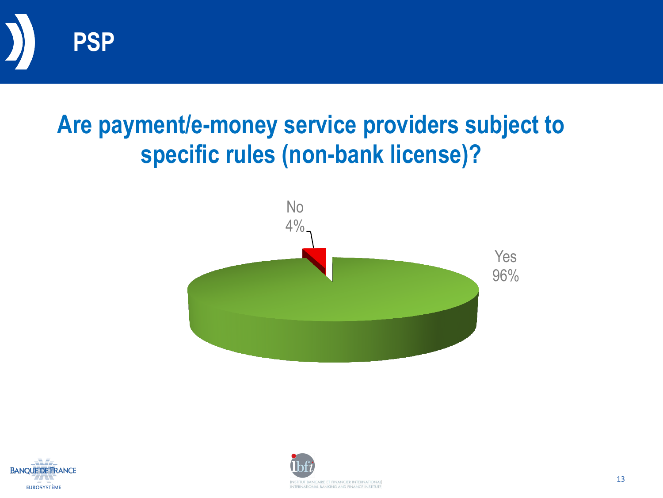

#### **Are payment/e-money service providers subject to specific rules (non-bank license)?**





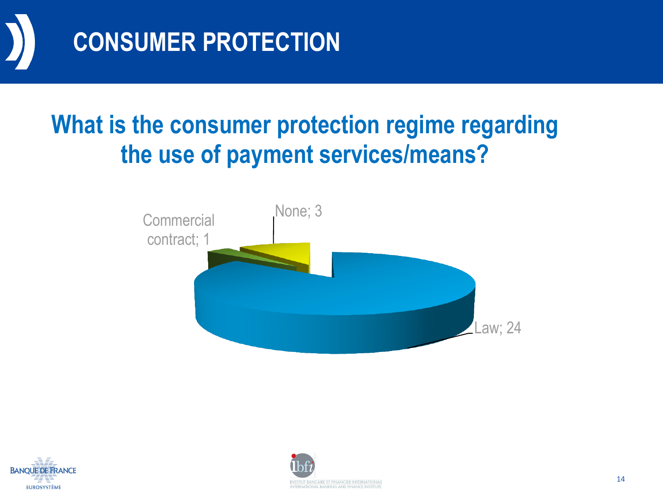

#### **What is the consumer protection regime regarding the use of payment services/means?**





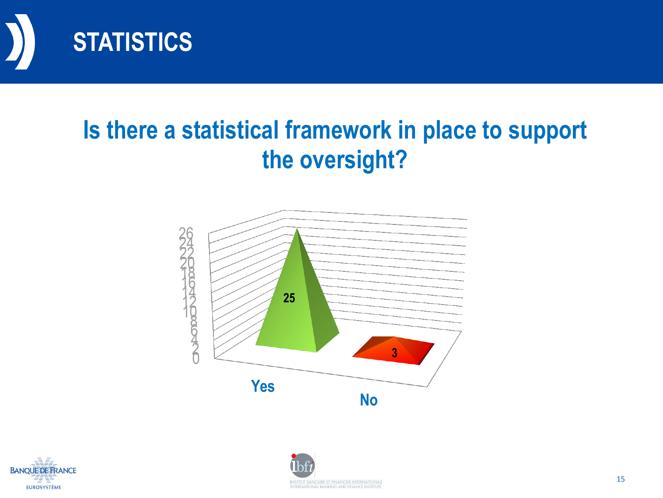

#### **Is there a statistical framework in place to support the oversight?**





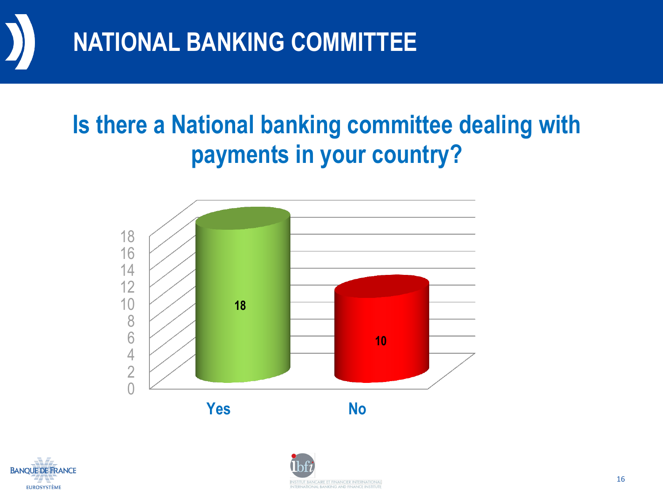

#### **Is there a National banking committee dealing with payments in your country?**





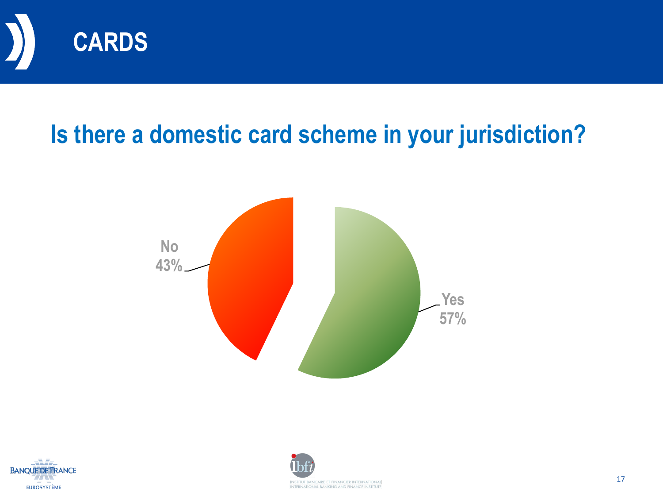

#### **Is there a domestic card scheme in your jurisdiction?**





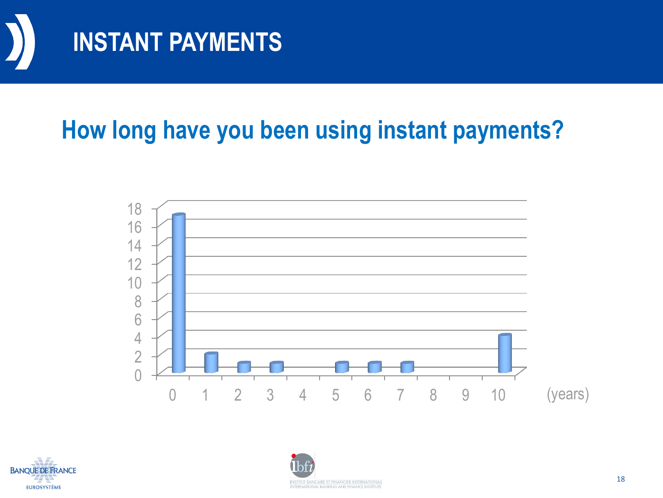

#### **How long have you been using instant payments?**





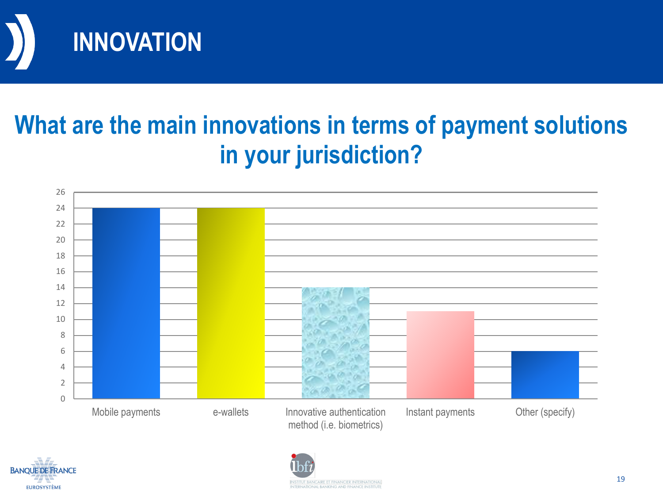

#### **What are the main innovations in terms of payment solutions in your jurisdiction?**